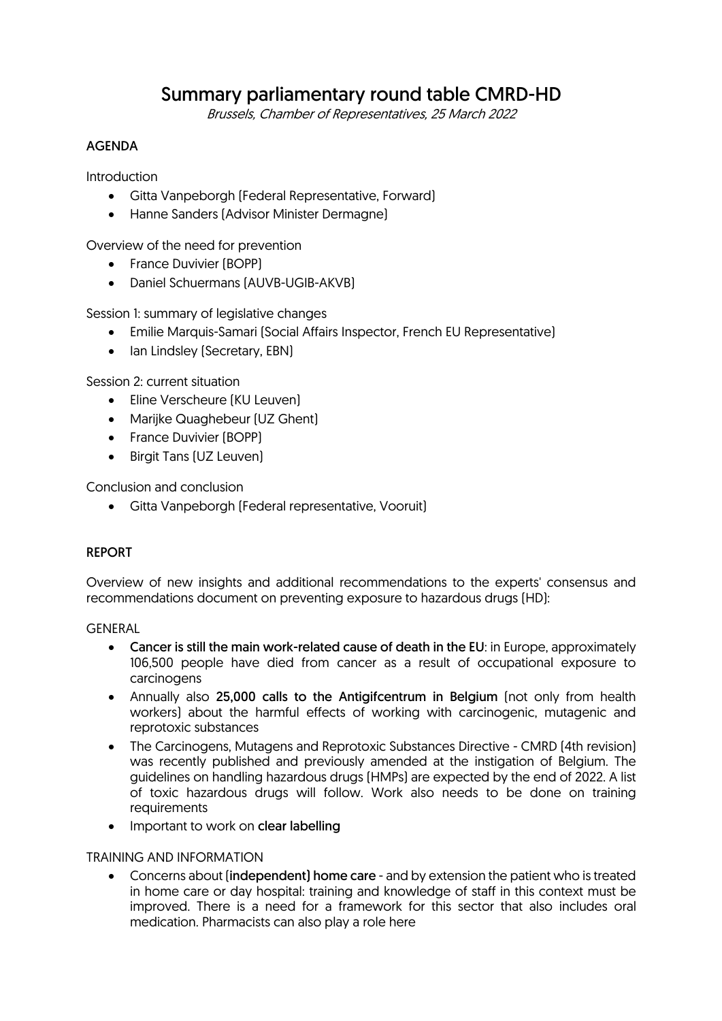# Summary parliamentary round table CMRD-HD

Brussels, Chamber of Representatives, 25 March 2022

## AGENDA

Introduction

- Gitta Vanpeborgh (Federal Representative, Forward)
- Hanne Sanders (Advisor Minister Dermagne)

Overview of the need for prevention

- France Duvivier (BOPP)
- Daniel Schuermans (AUVB-UGIB-AKVB)

Session 1: summary of legislative changes

- Emilie Marquis-Samari (Social Affairs Inspector, French EU Representative)
- Ian Lindsley (Secretary, EBN)

Session 2: current situation

- Eline Verscheure (KU Leuven)
- Marijke Quaghebeur (UZ Ghent)
- France Duvivier (BOPP)
- Birgit Tans (UZ Leuven)

Conclusion and conclusion

• Gitta Vanpeborgh (Federal representative, Vooruit)

#### REPORT

Overview of new insights and additional recommendations to the experts' consensus and recommendations document on preventing exposure to hazardous drugs (HD):

#### GENERAL

- Cancer is still the main work-related cause of death in the EU: in Europe, approximately 106,500 people have died from cancer as a result of occupational exposure to carcinogens
- Annually also 25,000 calls to the Antigifcentrum in Belgium (not only from health workers) about the harmful effects of working with carcinogenic, mutagenic and reprotoxic substances
- The Carcinogens, Mutagens and Reprotoxic Substances Directive CMRD (4th revision) was recently published and previously amended at the instigation of Belgium. The guidelines on handling hazardous drugs (HMPs) are expected by the end of 2022. A list of toxic hazardous drugs will follow. Work also needs to be done on training requirements
- Important to work on clear labelling

#### TRAINING AND INFORMATION

• Concerns about (independent) home care - and by extension the patient who is treated in home care or day hospital: training and knowledge of staff in this context must be improved. There is a need for a framework for this sector that also includes oral medication. Pharmacists can also play a role here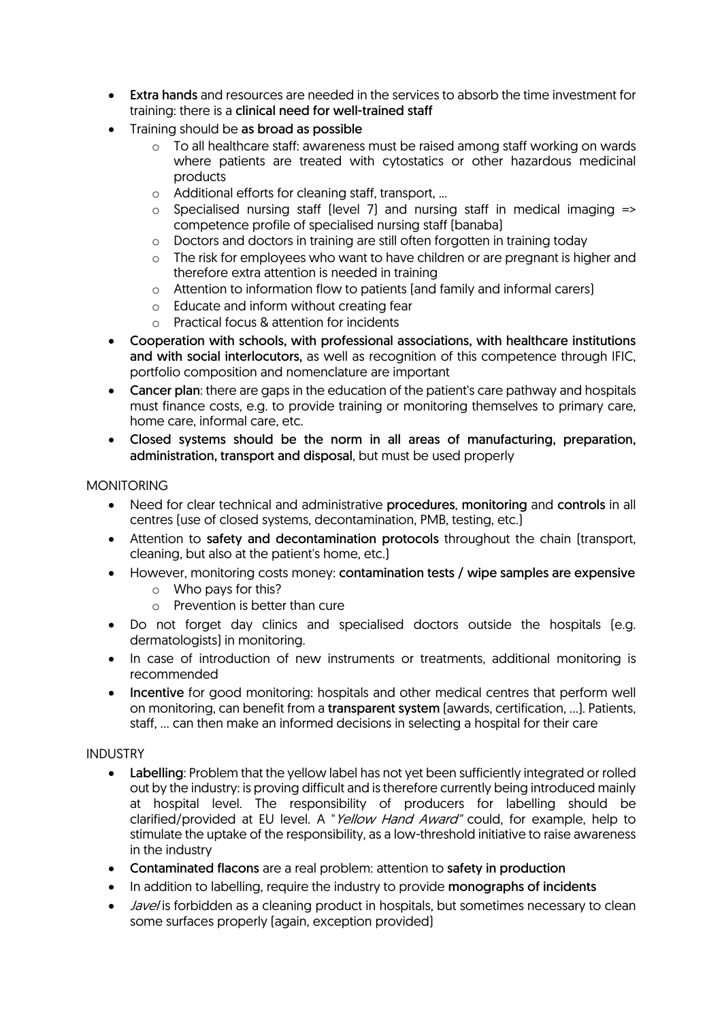- Extra hands and resources are needed in the services to absorb the time investment for training: there is a clinical need for well-trained staff
- Training should be as broad as possible
	- o To all healthcare staff: awareness must be raised among staff working on wards where patients are treated with cytostatics or other hazardous medicinal products
	- o Additional efforts for cleaning staff, transport, ...
	- $\circ$  Specialised nursing staff (level 7) and nursing staff in medical imaging  $\Rightarrow$ competence profile of specialised nursing staff (banaba)
	- o Doctors and doctors in training are still often forgotten in training today
	- o The risk for employees who want to have children or are pregnant is higher and therefore extra attention is needed in training
	- o Attention to information flow to patients (and family and informal carers)
	- o Educate and inform without creating fear
	- o Practical focus & attention for incidents
- Cooperation with schools, with professional associations, with healthcare institutions and with social interlocutors, as well as recognition of this competence through IFIC. portfolio composition and nomenclature are important
- Cancer plan: there are gaps in the education of the patient's care pathway and hospitals must finance costs, e.g. to provide training or monitoring themselves to primary care, home care, informal care, etc.
- Closed systems should be the norm in all areas of manufacturing, preparation, administration, transport and disposal, but must be used properly

#### **MONITORING**

- Need for clear technical and administrative procedures, monitoring and controls in all centres (use of closed systems, decontamination, PMB, testing, etc.)
- Attention to safety and decontamination protocols throughout the chain (transport, cleaning, but also at the patient's home, etc.)
- However, monitoring costs money: contamination tests / wipe samples are expensive
	- o Who pays for this?
	- o Prevention is better than cure
- Do not forget day clinics and specialised doctors outside the hospitals (e.g. dermatologists) in monitoring.
- In case of introduction of new instruments or treatments, additional monitoring is recommended
- Incentive for good monitoring: hospitals and other medical centres that perform well on monitoring, can benefit from a transparent system (awards, certification, …). Patients, staff, … can then make an informed decisions in selecting a hospital for their care

#### **INDUSTRY**

- Labelling: Problem that the yellow label has not yet been sufficiently integrated or rolled out by the industry: is proving difficult and is therefore currently being introduced mainly at hospital level. The responsibility of producers for labelling should be clarified/provided at EU level. A "Yellow Hand Award" could, for example, help to stimulate the uptake of the responsibility, as a low-threshold initiative to raise awareness in the industry
- Contaminated flacons are a real problem: attention to safety in production
- In addition to labelling, require the industry to provide monographs of incidents
- $\bullet$  *Javel* is forbidden as a cleaning product in hospitals, but sometimes necessary to clean some surfaces properly (again, exception provided)